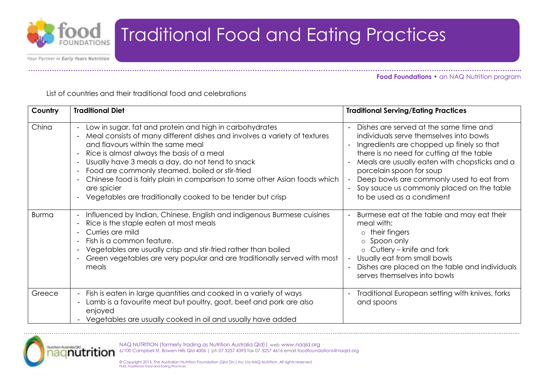

Your Partner in Early Years Nutrition

**……………………………………………………………………………………………………………………………………………………………………………………...... Food Foundations •** an NAQ Nutrition program

List of countries and their traditional food and celebrations

| Country      | <b>Traditional Diet</b>                                                                                                                                                                                                                                                                                                                                                                                                                                                                  | <b>Traditional Serving/Eating Practices</b>                                                                                                                                                                                                                                                                                                                                                                                  |
|--------------|------------------------------------------------------------------------------------------------------------------------------------------------------------------------------------------------------------------------------------------------------------------------------------------------------------------------------------------------------------------------------------------------------------------------------------------------------------------------------------------|------------------------------------------------------------------------------------------------------------------------------------------------------------------------------------------------------------------------------------------------------------------------------------------------------------------------------------------------------------------------------------------------------------------------------|
| China        | Low in sugar, fat and protein and high in carbohydrates<br>Meal consists of many different dishes and involves a variety of textures<br>and flavours within the same meal<br>Rice is almost always the basis of a meal<br>Usually have 3 meals a day, do not tend to snack<br>Food are commonly steamed, boiled or stir-fried<br>Chinese food is fairly plain in comparison to some other Asian foods which<br>are spicier<br>Vegetables are traditionally cooked to be tender but crisp | Dishes are served at the same time and<br>$\blacksquare$<br>individuals serve themselves into bowls<br>Ingredients are chopped up finely so that<br>there is no need for cutting at the table<br>Meals are usually eaten with chopsticks and a<br>porcelain spoon for soup<br>Deep bowls are commonly used to eat from<br>$\overline{\phantom{a}}$<br>Soy sauce us commonly placed on the table<br>to be used as a condiment |
| <b>Burma</b> | Influenced by Indian, Chinese, English and indigenous Burmese cuisines<br>Rice is the staple eaten at most meals<br>Curries are mild<br>Fish is a common feature.<br>Vegetables are usually crisp and stir-fried rather than boiled<br>Green vegetables are very popular and are traditionally served with most<br>meals                                                                                                                                                                 | Burmese eat at the table and may eat their<br>meal with:<br>$\circ$ their fingers<br>o Spoon only<br>$\circ$ Cutlery – knife and fork<br>Usually eat from small bowls<br>Dishes are placed on the table and individuals<br>serves themselves into bowls                                                                                                                                                                      |
| Greece       | - Fish is eaten in large quantities and cooked in a variety of ways<br>Lamb is a favourite meat but poultry, goat, beef and pork are also<br>enjoyed<br>Vegetables are usually cooked in oil and usually have added                                                                                                                                                                                                                                                                      | Traditional European setting with knives, forks<br>and spoons                                                                                                                                                                                                                                                                                                                                                                |

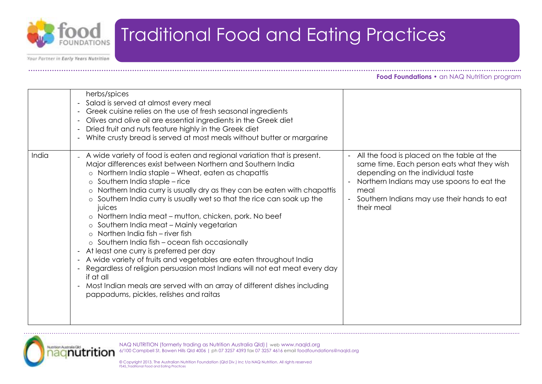

Your Partner in Early Years Nutrition

**……………………………………………………………………………………………………………………………………………………………………………………...... Food Foundations •** an NAQ Nutrition program

|       | herbs/spices<br>Salad is served at almost every meal<br>$\blacksquare$<br>Greek cuisine relies on the use of fresh seasonal ingredients<br>$\overline{\phantom{a}}$<br>Olives and olive oil are essential ingredients in the Greek diet<br>$\overline{\phantom{a}}$<br>Dried fruit and nuts feature highly in the Greek diet<br>$\overline{a}$<br>White crusty bread is served at most meals without butter or margarine<br>$\overline{\phantom{a}}$                                                                                                                                                                                                                                                                                                                                                                                                                                                                                                                                                                                                           |                                                                                                                                                                                                                                                  |
|-------|----------------------------------------------------------------------------------------------------------------------------------------------------------------------------------------------------------------------------------------------------------------------------------------------------------------------------------------------------------------------------------------------------------------------------------------------------------------------------------------------------------------------------------------------------------------------------------------------------------------------------------------------------------------------------------------------------------------------------------------------------------------------------------------------------------------------------------------------------------------------------------------------------------------------------------------------------------------------------------------------------------------------------------------------------------------|--------------------------------------------------------------------------------------------------------------------------------------------------------------------------------------------------------------------------------------------------|
| India | A wide variety of food is eaten and regional variation that is present.<br>Major differences exist between Northern and Southern India<br>Northern India staple - Wheat, eaten as chapattis<br>$\circ$<br>$\circ$ Southern India staple – rice<br>o Northern India curry is usually dry as they can be eaten with chapattis<br>o Southern India curry is usually wet so that the rice can soak up the<br>juices<br>o Northern India meat – mutton, chicken, pork. No beef<br>o Southern India meat - Mainly vegetarian<br>Northen India fish – river fish<br>$\bigcap$<br>$\circ$ Southern India fish – ocean fish occasionally<br>At least one curry is preferred per day<br>$\overline{\phantom{a}}$<br>A wide variety of fruits and vegetables are eaten throughout India<br>$\overline{\phantom{a}}$<br>Regardless of religion persuasion most Indians will not eat meat every day<br>$\blacksquare$<br>if at all<br>Most Indian meals are served with an array of different dishes including<br>$\blacksquare$<br>pappadums, pickles, relishes and raitas | All the food is placed on the table at the<br>same time. Each person eats what they wish<br>depending on the individual taste<br>Northern Indians may use spoons to eat the<br>meal<br>Southern Indians may use their hands to eat<br>their meal |

……………………………………………………………………………………………………………………………….........................................................................................................



NAQ NUTRITION (formerly trading as Nutrition Australia Qld)| web www.naqld.org 6/100 Campbell St, Bowen Hills Qld 4006 | ph 07 3257 4393 fax 07 3257 4616 email foodfoundations@naqld.org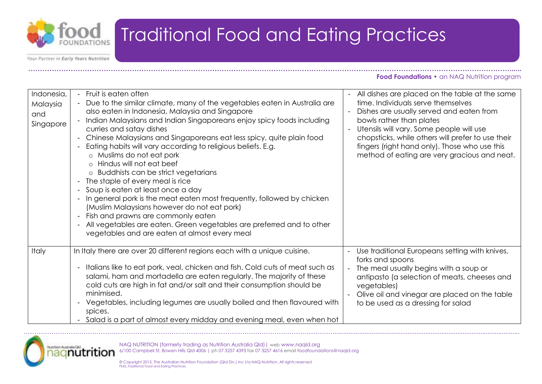

Your Partner in Early Years Nutrition

**……………………………………………………………………………………………………………………………………………………………………………………...... Food Foundations •** an NAQ Nutrition program

| Indonesia,<br>Malaysia<br>and<br>Singapore | - Fruit is eaten often<br>Due to the similar climate, many of the vegetables eaten in Australia are<br>also eaten in Indonesia, Malaysia and Singapore<br>Indian Malaysians and Indian Singaporeans enjoy spicy foods including<br>curries and satay dishes<br>Chinese Malaysians and Singaporeans eat less spicy, quite plain food<br>Eating habits will vary according to religious beliefs. E.g.<br>o Muslims do not eat pork<br>o Hindus will not eat beef<br>o Buddhists can be strict vegetarians<br>The staple of every meal is rice<br>Soup is eaten at least once a day<br>$\blacksquare$<br>In general pork is the meat eaten most frequently, followed by chicken<br>(Muslim Malaysians however do not eat pork)<br>Fish and prawns are commonly eaten<br>$\overline{\phantom{a}}$<br>All vegetables are eaten. Green vegetables are preferred and to other<br>vegetables and are eaten at almost every meal | - All dishes are placed on the table at the same<br>time. Individuals serve themselves<br>Dishes are usually served and eaten from<br>bowls rather than plates<br>Utensils will vary. Some people will use<br>chopsticks, while others will prefer to use their<br>fingers (right hand only). Those who use this<br>method of eating are very gracious and neat. |
|--------------------------------------------|-------------------------------------------------------------------------------------------------------------------------------------------------------------------------------------------------------------------------------------------------------------------------------------------------------------------------------------------------------------------------------------------------------------------------------------------------------------------------------------------------------------------------------------------------------------------------------------------------------------------------------------------------------------------------------------------------------------------------------------------------------------------------------------------------------------------------------------------------------------------------------------------------------------------------|------------------------------------------------------------------------------------------------------------------------------------------------------------------------------------------------------------------------------------------------------------------------------------------------------------------------------------------------------------------|
| Italy                                      | In Italy there are over 20 different regions each with a unique cuisine.<br>Italians like to eat pork, veal, chicken and fish. Cold cuts of meat such as<br>$\blacksquare$<br>salami, ham and mortadella are eaten regularly. The majority of these<br>cold cuts are high in fat and/or salt and their consumption should be<br>minimised.<br>Vegetables, including legumes are usually boiled and then flavoured with<br>$\sim$<br>spices.<br>Salad is a part of almost every midday and evening meal, even when hot                                                                                                                                                                                                                                                                                                                                                                                                   | Use traditional Europeans setting with knives,<br>forks and spoons<br>The meal usually begins with a soup or<br>antipasto (a selection of meats, cheeses and<br>vegetables)<br>Olive oil and vinegar are placed on the table<br>to be used as a dressing for salad                                                                                               |

……………………………………………………………………………………………………………………………….........................................................................................................

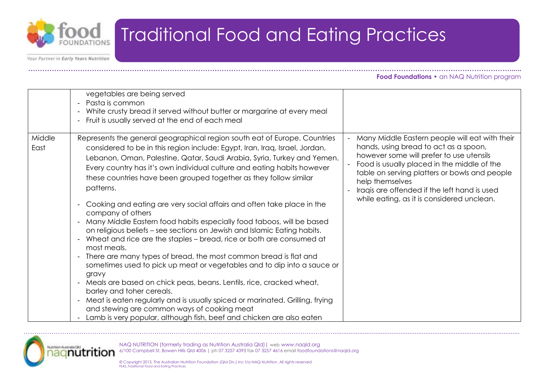

Your Partner in Early Years Nutrition

**……………………………………………………………………………………………………………………………………………………………………………………...... Food Foundations •** an NAQ Nutrition program

|                | vegetables are being served<br>Pasta is common<br>White crusty bread it served without butter or margarine at every meal<br>- Fruit is usually served at the end of each meal                                                                                                                                                                                                                                                                                                                                                                                                                                                                                                                                                                                                                                                                                                                                                                                                                                                                                                                                                                                                                                                                                                                                                  |                                                                                                                                                                                                                                                                                                                                                      |
|----------------|--------------------------------------------------------------------------------------------------------------------------------------------------------------------------------------------------------------------------------------------------------------------------------------------------------------------------------------------------------------------------------------------------------------------------------------------------------------------------------------------------------------------------------------------------------------------------------------------------------------------------------------------------------------------------------------------------------------------------------------------------------------------------------------------------------------------------------------------------------------------------------------------------------------------------------------------------------------------------------------------------------------------------------------------------------------------------------------------------------------------------------------------------------------------------------------------------------------------------------------------------------------------------------------------------------------------------------|------------------------------------------------------------------------------------------------------------------------------------------------------------------------------------------------------------------------------------------------------------------------------------------------------------------------------------------------------|
| Middle<br>East | Represents the general geographical region south eat of Europe. Countries<br>considered to be in this region include: Egypt, Iran, Iraq, Israel, Jordan,<br>Lebanon, Oman, Palestine, Qatar, Saudi Arabia, Syria, Turkey and Yemen.<br>Every country has it's own individual culture and eating habits however<br>these countries have been grouped together as they follow similar<br>patterns.<br>Cooking and eating are very social affairs and often take place in the<br>$\blacksquare$<br>company of others<br>Many Middle Eastern food habits especially food taboos, will be based<br>$\blacksquare$<br>on religious beliefs - see sections on Jewish and Islamic Eating habits.<br>Wheat and rice are the staples – bread, rice or both are consumed at<br>$\overline{\phantom{a}}$<br>most meals.<br>- There are many types of bread, the most common bread is flat and<br>sometimes used to pick up meat or vegetables and to dip into a sauce or<br>gravy<br>Meals are based on chick peas, beans. Lentils, rice, cracked wheat,<br>$\blacksquare$<br>barley and toher cereals.<br>Meat is eaten regularly and is usually spiced or marinated. Grilling, frying<br>$\overline{\phantom{a}}$<br>and stewing are common ways of cooking meat<br>Lamb is very popular, although fish, beef and chicken are also eaten | Many Middle Eastern people will eat with their<br>hands, using bread to act as a spoon,<br>however some will prefer to use utensils<br>Food is usually placed in the middle of the<br>table on serving platters or bowls and people<br>help themselves<br>Iraqis are offended if the left hand is used<br>while eating, as it is considered unclean. |

……………………………………………………………………………………………………………………………….........................................................................................................



NAQ NUTRITION (formerly trading as Nutrition Australia Qld)| web www.naqld.org 6/100 Campbell St, Bowen Hills Qld 4006 | ph 07 3257 4393 fax 07 3257 4616 email foodfoundations@naqld.org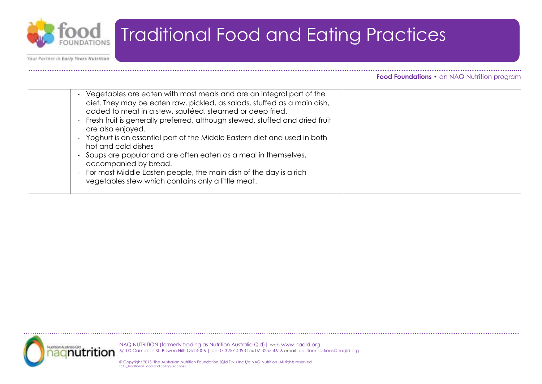

Your Partner in Early Years Nutrition

#### **……………………………………………………………………………………………………………………………………………………………………………………...... Food Foundations •** an NAQ Nutrition program

| Vegetables are eaten with most meals and are an integral part of the<br>diet. They may be eaten raw, pickled, as salads, stuffed as a main dish,<br>added to meat in a stew, sautéed, steamed or deep fried.<br>Fresh fruit is generally preferred, although stewed, stuffed and dried fruit<br>are also enjoyed.<br>Yoghurt is an essential port of the Middle Eastern diet and used in both<br>hot and cold dishes<br>Soups are popular and are often eaten as a meal in themselves,<br>accompanied by bread.<br>For most Middle Easten people, the main dish of the day is a rich<br>vegetables stew which contains only a little meat. |  |
|--------------------------------------------------------------------------------------------------------------------------------------------------------------------------------------------------------------------------------------------------------------------------------------------------------------------------------------------------------------------------------------------------------------------------------------------------------------------------------------------------------------------------------------------------------------------------------------------------------------------------------------------|--|
|--------------------------------------------------------------------------------------------------------------------------------------------------------------------------------------------------------------------------------------------------------------------------------------------------------------------------------------------------------------------------------------------------------------------------------------------------------------------------------------------------------------------------------------------------------------------------------------------------------------------------------------------|--|



NAQ NUTRITION (formerly trading as Nutrition Australia Qld)| web www.naqld.org 6/100 Campbell St, Bowen Hills Qld 4006 | ph 07 3257 4393 fax 07 3257 4616 email foodfoundations@naqld.org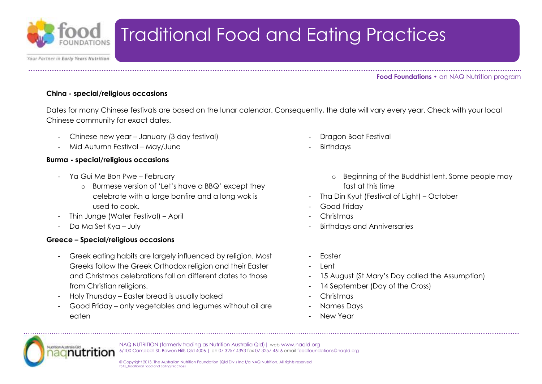

Your Partner in Early Years Nutrition

**……………………………………………………………………………………………………………………………………………………………………………………...... Food Foundations •** an NAQ Nutrition program

#### **China - special/religious occasions**

Dates for many Chinese festivals are based on the lunar calendar. Consequently, the date will vary every year. Check with your local Chinese community for exact dates.

- Chinese new year January (3 day festival)
- Mid Autumn Festival May/June

### **Burma - special/religious occasions**

- Ya Gui Me Bon Pwe February
	- o Burmese version of 'Let's have a BBQ' except they celebrate with a large bonfire and a long wok is used to cook.

- Thin Junge (Water Festival) April
- Da Ma Set Kya July

### **Greece – Special/religious occasions**

- Greek eating habits are largely influenced by religion. Most Greeks follow the Greek Orthodox religion and their Easter and Christmas celebrations fall on different dates to those from Christian religions.
- Holy Thursday Easter bread is usually baked
- Good Friday only vegetables and legumes without oil are eaten
- Dragon Boat Festival
- **Birthdays** 
	- o Beginning of the Buddhist lent. Some people may fast at this time
- Tha Din Kyut (Festival of Light) October
- Good Friday
- Christmas
- Birthdays and Anniversaries
- Easter
- Lent
- 15 August (St Mary's Day called the Assumption)
- 14 September (Day of the Cross)
- Christmas
- Names Days
- New Year



NAQ NUTRITION (formerly trading as Nutrition Australia Qld)| web www.naqld.org 6/100 Campbell St, Bowen Hills Qld 4006 | ph 07 3257 4393 fax 07 3257 4616 email foodfoundations@naqld.org

……………………………………………………………………………………………………………………………….........................................................................................................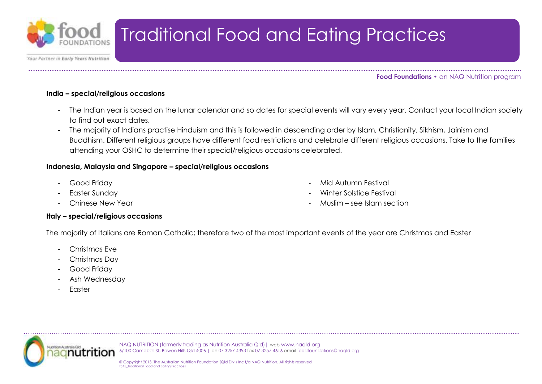

Your Partner in Early Years Nutrition

**……………………………………………………………………………………………………………………………………………………………………………………...... Food Foundations •** an NAQ Nutrition program

### **India – special/religious occasions**

- The Indian year is based on the lunar calendar and so dates for special events will vary every year. Contact your local Indian society to find out exact dates.
- The majority of Indians practise Hinduism and this is followed in descending order by Islam, Christianity, Sikhism, Jainism and Buddhism. Different religious groups have different food restrictions and celebrate different religious occasions. Take to the families attending your OSHC to determine their special/religious occasions celebrated.

### **Indonesia, Malaysia and Singapore – special/religious occasions**

- Good Friday
- Easter Sunday
- Chinese New Year
- Mid Autumn Festival
- Winter Solstice Festival
- Muslim see Islam section

#### **Italy – special/religious occasions**

The majority of Italians are Roman Catholic; therefore two of the most important events of the year are Christmas and Easter

……………………………………………………………………………………………………………………………….........................................................................................................

- Christmas Eve
- Christmas Day
- Good Friday
- Ash Wednesday
- **Easter**

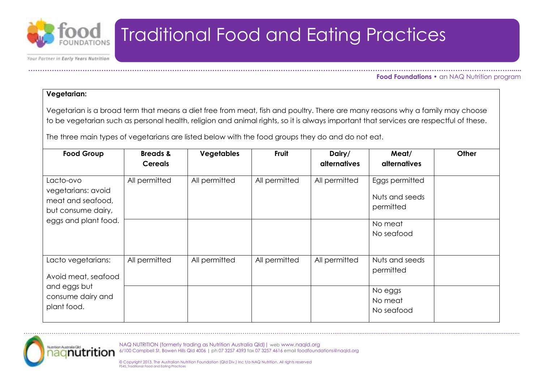

Your Partner in Early Years Nutrition

**……………………………………………………………………………………………………………………………………………………………………………………...... Food Foundations •** an NAQ Nutrition program

#### **Vegetarian:**

Vegetarian is a broad term that means a diet free from meat, fish and poultry. There are many reasons why a family may choose to be vegetarian such as personal health, religion and animal rights, so it is always important that services are respectful of these.

The three main types of vegetarians are listed below with the food groups they do and do not eat.

| <b>Food Group</b>                                                          | <b>Breads &amp;</b><br><b>Cereals</b> | <b>Vegetables</b> | Fruit         | Dairy/<br><b>alternatives</b> | Meat/<br><b>alternatives</b>                  | Other |
|----------------------------------------------------------------------------|---------------------------------------|-------------------|---------------|-------------------------------|-----------------------------------------------|-------|
| Lacto-ovo<br>vegetarians: avoid<br>meat and seafood,<br>but consume dairy, | All permitted                         | All permitted     | All permitted | All permitted                 | Eggs permitted<br>Nuts and seeds<br>permitted |       |
| eggs and plant food.                                                       |                                       |                   |               |                               | No meat<br>No seafood                         |       |
| Lacto vegetarians:<br>Avoid meat, seafood                                  | All permitted                         | All permitted     | All permitted | All permitted                 | Nuts and seeds<br>permitted                   |       |
| and eggs but<br>consume dairy and<br>plant food.                           |                                       |                   |               |                               | No eggs<br>No meat<br>No seafood              |       |

……………………………………………………………………………………………………………………………….........................................................................................................



NAQ NUTRITION (formerly trading as Nutrition Australia Qld)| web www.naqld.org 6/100 Campbell St, Bowen Hills Qld 4006 | ph 07 3257 4393 fax 07 3257 4616 email foodfoundations@naqld.org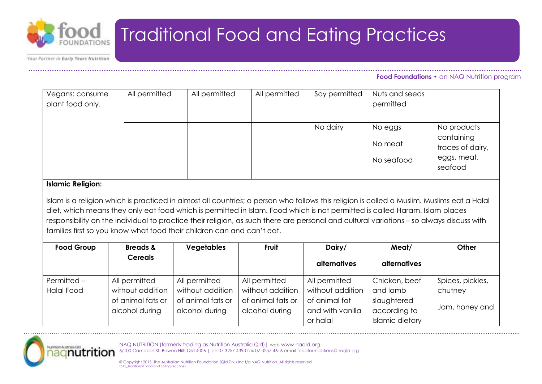

Your Partner in Early Years Nutrition

#### **……………………………………………………………………………………………………………………………………………………………………………………...... Food Foundations •** an NAQ Nutrition program

| Vegans: consume<br>plant food only. | All permitted | All permitted | All permitted | Soy permitted | Nuts and seeds<br>permitted      |                                                                         |
|-------------------------------------|---------------|---------------|---------------|---------------|----------------------------------|-------------------------------------------------------------------------|
|                                     |               |               |               | No dairy      | No eggs<br>No meat<br>No seafood | No products<br>containing<br>traces of dairy,<br>eggs, meat,<br>seafood |

#### **Islamic Religion:**

Islam is a religion which is practiced in almost all countries; a person who follows this religion is called a Muslim. Muslims eat a Halal diet, which means they only eat food which is permitted in Islam. Food which is not permitted is called Haram. Islam places responsibility on the individual to practice their religion, as such there are personal and cultural variations – so always discuss with families first so you know what food their children can and can't eat.

| <b>Food Group</b> | <b>Breads &amp;</b> | <b>Vegetables</b> | <b>Fruit</b>      | Dairy/              | Meat/                  | Other            |
|-------------------|---------------------|-------------------|-------------------|---------------------|------------------------|------------------|
|                   | <b>Cereals</b>      |                   |                   | <b>alternatives</b> | <b>alternatives</b>    |                  |
| Permitted -       | All permitted       | All permitted     | All permitted     | All permitted       | Chicken, beef          | Spices, pickles, |
| <b>Halal Food</b> | without addition    | without addition  | without addition  | without addition    | and lamb               | chutney          |
|                   | of animal fats or   | of animal fats or | of animal fats or | of animal fat       | slaughtered            |                  |
|                   | alcohol during      | alcohol during    | alcohol during    | and with vanilla    | according to           | Jam, honey and   |
|                   |                     |                   |                   | or halal            | <b>Islamic dietary</b> |                  |

……………………………………………………………………………………………………………………………….........................................................................................................